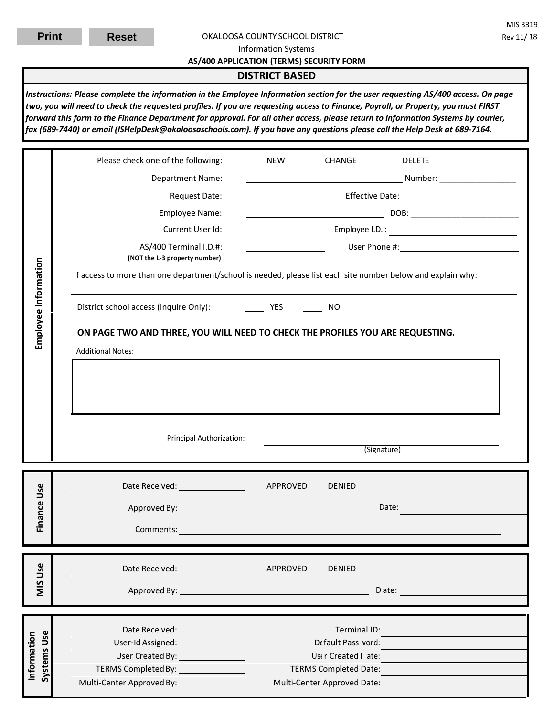#### OKALOOSA COUNTY SCHOOL DISTRICT

Information Systems

### **AS/400 APPLICATION (TERMS) SECURITY FORM**

## **DISTRICT BASED**

*Instructions: Please complete the information in the Employee Information section for the user requesting AS/400 access. On page two, you will need to check the requested profiles. If you are requesting access to Finance, Payroll, or Property, you must FIRST forward this form to the Finance Department for approval. For all other access, please return to Information Systems by courier, fax (689-7440) or email (ISHelpDesk@okaloosaschools.com). If you have any questions please call the Help Desk at 689-7164.* 

| Employee Information              | Please check one of the following:                                                                          | NEW                   | CHANGE                                                                                                                                                                                                                                                                                                                                                                     | <b>DELETE</b>                                                                                                                                                                                                                        |  |  |  |
|-----------------------------------|-------------------------------------------------------------------------------------------------------------|-----------------------|----------------------------------------------------------------------------------------------------------------------------------------------------------------------------------------------------------------------------------------------------------------------------------------------------------------------------------------------------------------------------|--------------------------------------------------------------------------------------------------------------------------------------------------------------------------------------------------------------------------------------|--|--|--|
|                                   | Department Name:                                                                                            |                       |                                                                                                                                                                                                                                                                                                                                                                            |                                                                                                                                                                                                                                      |  |  |  |
|                                   | Request Date:                                                                                               |                       | <u> 1980 - Johann Barn, mars ann an t-</u>                                                                                                                                                                                                                                                                                                                                 |                                                                                                                                                                                                                                      |  |  |  |
|                                   | Employee Name:                                                                                              |                       | $\texttt{DOB:}\footnotesize\begin{picture}(18,10) \put(0,0){\vector(1,0){100}} \put(15,0){\vector(1,0){100}} \put(15,0){\vector(1,0){100}} \put(15,0){\vector(1,0){100}} \put(15,0){\vector(1,0){100}} \put(15,0){\vector(1,0){100}} \put(15,0){\vector(1,0){100}} \put(15,0){\vector(1,0){100}} \put(15,0){\vector(1,0){100}} \put(15,0){\vector(1,0){100}} \put(15,0){\$ |                                                                                                                                                                                                                                      |  |  |  |
|                                   | Current User Id:                                                                                            |                       |                                                                                                                                                                                                                                                                                                                                                                            | <b>Employee I.D.</b> : 2008. 2009. 2014. 2015. 2016. 2017. 2018. 2019. 2019. 2019. 2019. 2019. 2019. 2019. 2019. 2019. 2019. 2019. 2019. 2019. 2019. 2019. 2019. 2019. 2019. 2019. 2019. 2019. 2019. 2019. 2019. 2019. 2019. 2019. 2 |  |  |  |
|                                   | AS/400 Terminal I.D.#:<br>(NOT the L-3 property number)                                                     |                       |                                                                                                                                                                                                                                                                                                                                                                            | <u>and a set of the User Phone #: set of the set of the set of the set of the set of the set of the set of the set of the set of the set of the set of the set of the set of the set of the set of the set of the set of the set</u> |  |  |  |
|                                   | If access to more than one department/school is needed, please list each site number below and explain why: |                       |                                                                                                                                                                                                                                                                                                                                                                            |                                                                                                                                                                                                                                      |  |  |  |
|                                   | District school access (Inquire Only):                                                                      | <b>Example 19 YES</b> | <b>NO</b>                                                                                                                                                                                                                                                                                                                                                                  |                                                                                                                                                                                                                                      |  |  |  |
|                                   | ON PAGE TWO AND THREE, YOU WILL NEED TO CHECK THE PROFILES YOU ARE REQUESTING.                              |                       |                                                                                                                                                                                                                                                                                                                                                                            |                                                                                                                                                                                                                                      |  |  |  |
|                                   | <b>Additional Notes:</b>                                                                                    |                       |                                                                                                                                                                                                                                                                                                                                                                            |                                                                                                                                                                                                                                      |  |  |  |
|                                   |                                                                                                             |                       |                                                                                                                                                                                                                                                                                                                                                                            |                                                                                                                                                                                                                                      |  |  |  |
|                                   |                                                                                                             |                       |                                                                                                                                                                                                                                                                                                                                                                            |                                                                                                                                                                                                                                      |  |  |  |
|                                   |                                                                                                             |                       |                                                                                                                                                                                                                                                                                                                                                                            |                                                                                                                                                                                                                                      |  |  |  |
|                                   |                                                                                                             |                       |                                                                                                                                                                                                                                                                                                                                                                            |                                                                                                                                                                                                                                      |  |  |  |
|                                   |                                                                                                             |                       |                                                                                                                                                                                                                                                                                                                                                                            |                                                                                                                                                                                                                                      |  |  |  |
|                                   | Principal Authorization:                                                                                    |                       |                                                                                                                                                                                                                                                                                                                                                                            | (Signature)                                                                                                                                                                                                                          |  |  |  |
|                                   |                                                                                                             |                       |                                                                                                                                                                                                                                                                                                                                                                            |                                                                                                                                                                                                                                      |  |  |  |
|                                   | Date Received: ___________________                                                                          | APPROVED              | <b>DENIED</b>                                                                                                                                                                                                                                                                                                                                                              |                                                                                                                                                                                                                                      |  |  |  |
|                                   |                                                                                                             |                       |                                                                                                                                                                                                                                                                                                                                                                            | Date:                                                                                                                                                                                                                                |  |  |  |
| Finance Use                       |                                                                                                             |                       |                                                                                                                                                                                                                                                                                                                                                                            |                                                                                                                                                                                                                                      |  |  |  |
|                                   |                                                                                                             |                       |                                                                                                                                                                                                                                                                                                                                                                            |                                                                                                                                                                                                                                      |  |  |  |
|                                   | Date Received: ________________                                                                             | APPROVED              | <b>DENIED</b>                                                                                                                                                                                                                                                                                                                                                              |                                                                                                                                                                                                                                      |  |  |  |
| <b>MIS Use</b>                    |                                                                                                             |                       |                                                                                                                                                                                                                                                                                                                                                                            |                                                                                                                                                                                                                                      |  |  |  |
|                                   |                                                                                                             |                       |                                                                                                                                                                                                                                                                                                                                                                            |                                                                                                                                                                                                                                      |  |  |  |
|                                   |                                                                                                             |                       | Terminal ID:                                                                                                                                                                                                                                                                                                                                                               |                                                                                                                                                                                                                                      |  |  |  |
|                                   | Date Received: _________________<br>User-Id Assigned: __________________                                    |                       | Default Pass word:                                                                                                                                                                                                                                                                                                                                                         |                                                                                                                                                                                                                                      |  |  |  |
|                                   |                                                                                                             |                       | User Created I ate:                                                                                                                                                                                                                                                                                                                                                        |                                                                                                                                                                                                                                      |  |  |  |
| <b>Systems Use</b><br>Information | TERMS Completed By: 1999                                                                                    |                       | <b>TERMS Completed Date:</b><br>Multi-Center Approved Date:                                                                                                                                                                                                                                                                                                                |                                                                                                                                                                                                                                      |  |  |  |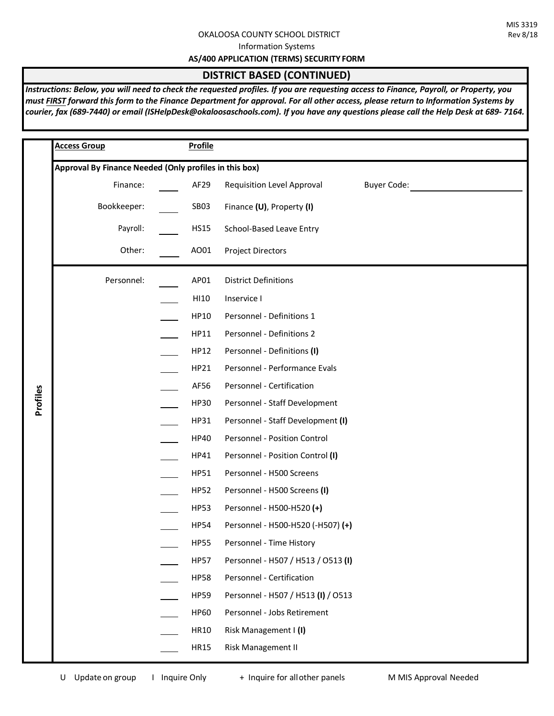### OKALOOSA COUNTY SCHOOL DISTRICT

Information Systems

**AS/400 APPLICATION (TERMS) SECURITY FORM**

# **DISTRICT BASED (CONTINUED)**

*Instructions: Below, you will need to check the requested profiles. If you are requesting access to Finance, Payroll, or Property, you must FIRST forward this form to the Finance Department for approval. For all other access, please return to Information Systems by courier, fax (689-7440) or email (ISHelpDesk@okaloosaschools.com). If you have any questions please call the Help Desk at 689- 7164.* 

|          | <b>Access Group</b>                                    | <b>Profile</b>   |                                                  |  |  |
|----------|--------------------------------------------------------|------------------|--------------------------------------------------|--|--|
|          | Approval By Finance Needed (Only profiles in this box) |                  |                                                  |  |  |
|          | Finance:                                               | AF <sub>29</sub> | <b>Buyer Code:</b><br>Requisition Level Approval |  |  |
|          | Bookkeeper:                                            | SB03             | Finance (U), Property (I)                        |  |  |
|          | Payroll:                                               | <b>HS15</b>      | School-Based Leave Entry                         |  |  |
|          | Other:                                                 | AO01             | <b>Project Directors</b>                         |  |  |
|          | Personnel:                                             | AP01             | <b>District Definitions</b>                      |  |  |
|          |                                                        | HI10             | Inservice I                                      |  |  |
|          |                                                        | HP10             | Personnel - Definitions 1                        |  |  |
|          |                                                        | HP11             | Personnel - Definitions 2                        |  |  |
|          |                                                        | HP12             | Personnel - Definitions (I)                      |  |  |
|          |                                                        | HP21             | Personnel - Performance Evals                    |  |  |
|          |                                                        | AF56             | Personnel - Certification                        |  |  |
| Profiles |                                                        | <b>HP30</b>      | Personnel - Staff Development                    |  |  |
|          |                                                        | HP31             | Personnel - Staff Development (I)                |  |  |
|          |                                                        | <b>HP40</b>      | Personnel - Position Control                     |  |  |
|          |                                                        | HP41             | Personnel - Position Control (I)                 |  |  |
|          |                                                        | HP51             | Personnel - H500 Screens                         |  |  |
|          |                                                        | <b>HP52</b>      | Personnel - H500 Screens (I)                     |  |  |
|          |                                                        | <b>HP53</b>      | Personnel - H500-H520 (+)                        |  |  |
|          |                                                        | <b>HP54</b>      | Personnel - H500-H520 (-H507) (+)                |  |  |
|          |                                                        | <b>HP55</b>      | Personnel - Time History                         |  |  |
|          |                                                        | <b>HP57</b>      | Personnel - H507 / H513 / O513 (I)               |  |  |
|          |                                                        | <b>HP58</b>      | Personnel - Certification                        |  |  |
|          |                                                        | <b>HP59</b>      | Personnel - H507 / H513 (I) / O513               |  |  |
|          |                                                        | <b>HP60</b>      | Personnel - Jobs Retirement                      |  |  |
|          |                                                        | <b>HR10</b>      | Risk Management I (I)                            |  |  |
|          |                                                        | <b>HR15</b>      | <b>Risk Management II</b>                        |  |  |